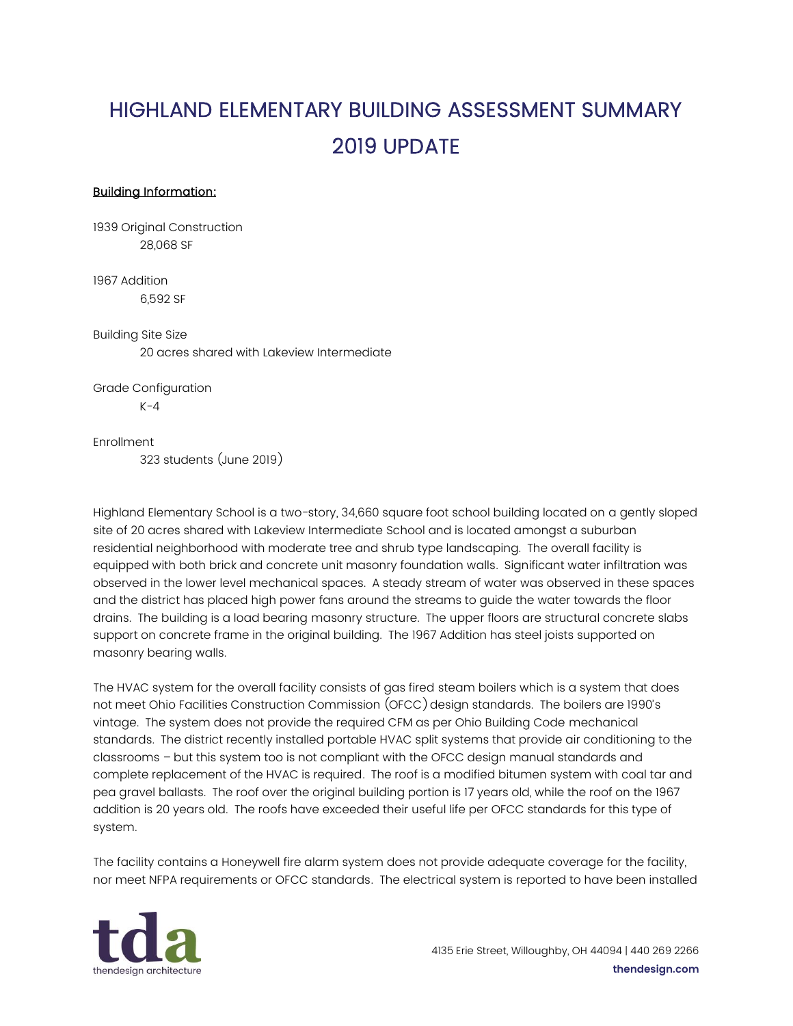## HIGHLAND ELEMENTARY BUILDING ASSESSMENT SUMMARY 2019 UPDATE

## Building Information:

1939 Original Construction 28,068 SF

1967 Addition 6,592 SF

Building Site Size 20 acres shared with Lakeview Intermediate

Grade Configuration  $K-4$ 

Enrollment

323 students (June 2019)

Highland Elementary School is a two-story, 34,660 square foot school building located on a gently sloped site of 20 acres shared with Lakeview Intermediate School and is located amongst a suburban residential neighborhood with moderate tree and shrub type landscaping. The overall facility is equipped with both brick and concrete unit masonry foundation walls. Significant water infiltration was observed in the lower level mechanical spaces. A steady stream of water was observed in these spaces and the district has placed high power fans around the streams to guide the water towards the floor drains. The building is a load bearing masonry structure. The upper floors are structural concrete slabs support on concrete frame in the original building. The 1967 Addition has steel joists supported on masonry bearing walls.

The HVAC system for the overall facility consists of gas fired steam boilers which is a system that does not meet Ohio Facilities Construction Commission (OFCC)design standards. The boilers are 1990's vintage. The system does not provide the required CFM as per Ohio Building Code mechanical standards. The district recently installed portable HVAC split systems that provide air conditioning to the classrooms – but this system too is not compliant with the OFCC design manual standards and complete replacement of the HVAC is required. The roof is a modified bitumen system with coal tar and pea gravel ballasts. The roof over the original building portion is 17 years old, while the roof on the 1967 addition is 20 years old. The roofs have exceeded their useful life per OFCC standards for this type of system.

The facility contains a Honeywell fire alarm system does not provide adequate coverage for the facility, nor meet NFPA requirements or OFCC standards. The electrical system is reported to have been installed